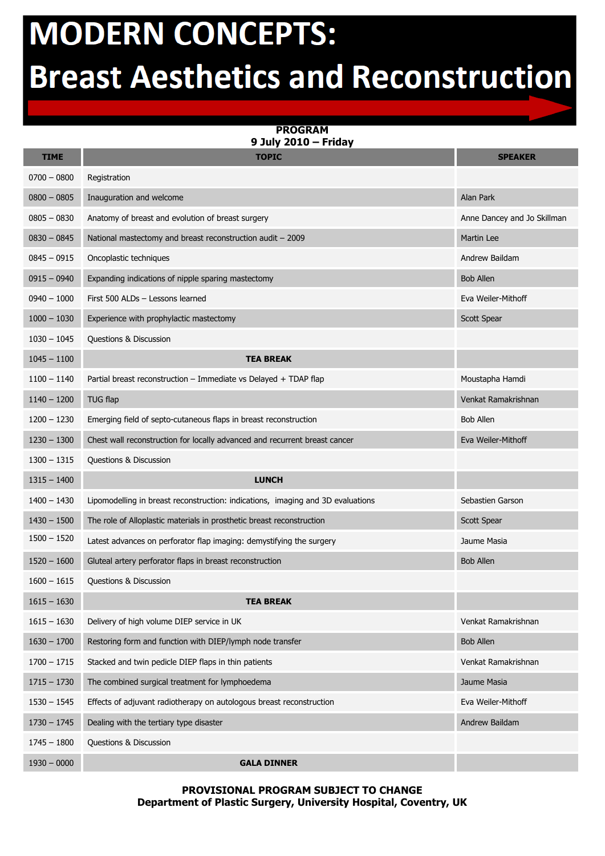## **MODERN CONCEPTS: Breast Aesthetics and Reconstruction**

**PROGRAM 9 July 2010 – Friday**

| <b>TIME</b>   | <b>TOPIC</b>                                                                    | <b>SPEAKER</b>              |
|---------------|---------------------------------------------------------------------------------|-----------------------------|
| $0700 - 0800$ | Registration                                                                    |                             |
| $0800 - 0805$ | Inauguration and welcome                                                        | Alan Park                   |
| $0805 - 0830$ | Anatomy of breast and evolution of breast surgery                               | Anne Dancey and Jo Skillman |
| $0830 - 0845$ | National mastectomy and breast reconstruction audit - 2009                      | Martin Lee                  |
| $0845 - 0915$ | Oncoplastic techniques                                                          | Andrew Baildam              |
| $0915 - 0940$ | Expanding indications of nipple sparing mastectomy                              | <b>Bob Allen</b>            |
| $0940 - 1000$ | First 500 ALDs - Lessons learned                                                | Eva Weiler-Mithoff          |
| $1000 - 1030$ | Experience with prophylactic mastectomy                                         | Scott Spear                 |
| $1030 - 1045$ | Questions & Discussion                                                          |                             |
| $1045 - 1100$ | <b>TEA BREAK</b>                                                                |                             |
| $1100 - 1140$ | Partial breast reconstruction - Immediate vs Delayed + TDAP flap                | Moustapha Hamdi             |
| $1140 - 1200$ | <b>TUG flap</b>                                                                 | Venkat Ramakrishnan         |
| $1200 - 1230$ | Emerging field of septo-cutaneous flaps in breast reconstruction                | <b>Bob Allen</b>            |
| $1230 - 1300$ | Chest wall reconstruction for locally advanced and recurrent breast cancer      | Eva Weiler-Mithoff          |
| $1300 - 1315$ | Questions & Discussion                                                          |                             |
| $1315 - 1400$ | <b>LUNCH</b>                                                                    |                             |
| $1400 - 1430$ | Lipomodelling in breast reconstruction: indications, imaging and 3D evaluations | Sebastien Garson            |
| $1430 - 1500$ | The role of Alloplastic materials in prosthetic breast reconstruction           | Scott Spear                 |
| $1500 - 1520$ | Latest advances on perforator flap imaging: demystifying the surgery            | Jaume Masia                 |
| $1520 - 1600$ | Gluteal artery perforator flaps in breast reconstruction                        | <b>Bob Allen</b>            |
| $1600 - 1615$ | Questions & Discussion                                                          |                             |
| $1615 - 1630$ | <b>TEA BREAK</b>                                                                |                             |
| $1615 - 1630$ | Delivery of high volume DIEP service in UK                                      | Venkat Ramakrishnan         |
| $1630 - 1700$ | Restoring form and function with DIEP/lymph node transfer                       | <b>Bob Allen</b>            |
| $1700 - 1715$ | Stacked and twin pedicle DIEP flaps in thin patients                            | Venkat Ramakrishnan         |
| $1715 - 1730$ | The combined surgical treatment for lymphoedema                                 | Jaume Masia                 |
| $1530 - 1545$ | Effects of adjuvant radiotherapy on autologous breast reconstruction            | Eva Weiler-Mithoff          |
| $1730 - 1745$ | Dealing with the tertiary type disaster                                         | Andrew Baildam              |
| $1745 - 1800$ | Questions & Discussion                                                          |                             |
| $1930 - 0000$ | <b>GALA DINNER</b>                                                              |                             |